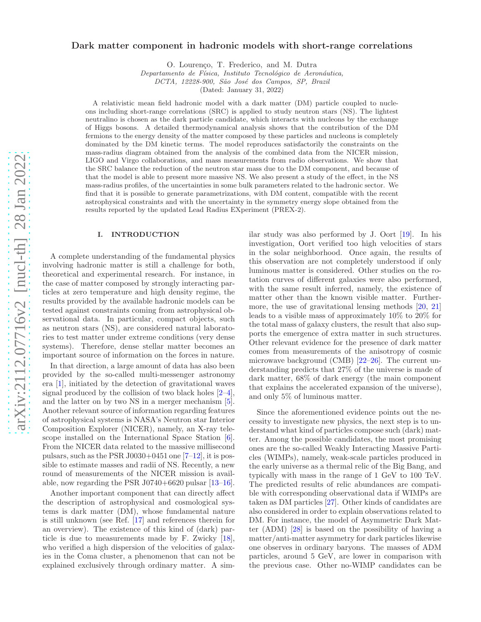# Dark matter component in hadronic models with short-range correlations

O. Lourenço, T. Frederico, and M. Dutra

Departamento de Física, Instituto Tecnológico de Aeronáutica,

DCTA, 12228-900, São José dos Campos, SP, Brazil

(Dated: January 31, 2022)

A relativistic mean field hadronic model with a dark matter (DM) particle coupled to nucleons including short-range correlations (SRC) is applied to study neutron stars (NS). The lightest neutralino is chosen as the dark particle candidate, which interacts with nucleons by the exchange of Higgs bosons. A detailed thermodynamical analysis shows that the contribution of the DM fermions to the energy density of the matter composed by these particles and nucleons is completely dominated by the DM kinetic terms. The model reproduces satisfactorily the constraints on the mass-radius diagram obtained from the analysis of the combined data from the NICER mission, LIGO and Virgo collaborations, and mass measurements from radio observations. We show that the SRC balance the reduction of the neutron star mass due to the DM component, and because of that the model is able to present more massive NS. We also present a study of the effect, in the NS mass-radius profiles, of the uncertainties in some bulk parameters related to the hadronic sector. We find that it is possible to generate parametrizations, with DM content, compatible with the recent astrophysical constraints and with the uncertainty in the symmetry energy slope obtained from the results reported by the updated Lead Radius EXperiment (PREX-2).

## I. INTRODUCTION

A complete understanding of the fundamental physics involving hadronic matter is still a challenge for both, theoretical and experimental research. For instance, in the case of matter composed by strongly interacting particles at zero temperature and high density regime, the results provided by the available hadronic models can be tested against constraints coming from astrophysical observational data. In particular, compact objects, such as neutron stars (NS), are considered natural laboratories to test matter under extreme conditions (very dense systems). Therefore, dense stellar matter becomes an important source of information on the forces in nature.

In that direction, a large amount of data has also been provided by the so-called multi-messenger astronomy era [\[1\]](#page-9-0), initiated by the detection of gravitational waves signal produced by the collision of two black holes [\[2](#page-9-1)[–4\]](#page-9-2), and the latter on by two NS in a merger mechanism [\[5\]](#page-9-3). Another relevant source of information regarding features of astrophysical systems is NASA's Neutron star Interior Composition Explorer (NICER), namely, an X-ray tele-scope installed on the International Space Station [\[6\]](#page-9-4). From the NICER data related to the massive millisecond pulsars, such as the PSR J0030+0451 one  $[7-12]$ , it is possible to estimate masses and radii of NS. Recently, a new round of measurements of the NICER mission is available, now regarding the PSR J0740+6620 pulsar [\[13](#page-9-7)[–16\]](#page-9-8).

Another important component that can directly affect the description of astrophysical and cosmological systems is dark matter (DM), whose fundamental nature is still unknown (see Ref. [\[17](#page-9-9)] and references therein for an overview). The existence of this kind of (dark) particle is due to measurements made by F. Zwicky [\[18\]](#page-9-10), who verified a high dispersion of the velocities of galaxies in the Coma cluster, a phenomenon that can not be explained exclusively through ordinary matter. A similar study was also performed by J. Oort [\[19\]](#page-9-11). In his investigation, Oort verified too high velocities of stars in the solar neighborhood. Once again, the results of this observation are not completely understood if only luminous matter is considered. Other studies on the rotation curves of different galaxies were also performed, with the same result inferred, namely, the existence of matter other than the known visible matter. Furthermore, the use of gravitational lensing methods [\[20](#page-9-12), [21](#page-9-13)] leads to a visible mass of approximately 10% to 20% for the total mass of galaxy clusters, the result that also supports the emergence of extra matter in such structures. Other relevant evidence for the presence of dark matter comes from measurements of the anisotropy of cosmic microwave background (CMB) [\[22](#page-9-14)[–26\]](#page-9-15). The current understanding predicts that 27% of the universe is made of dark matter, 68% of dark energy (the main component that explains the accelerated expansion of the universe), and only 5% of luminous matter.

Since the aforementioned evidence points out the necessity to investigate new physics, the next step is to understand what kind of particles compose such (dark) matter. Among the possible candidates, the most promising ones are the so-called Weakly Interacting Massive Particles (WIMPs), namely, weak-scale particles produced in the early universe as a thermal relic of the Big Bang, and typically with mass in the range of 1 GeV to 100 TeV. The predicted results of relic abundances are compatible with corresponding observational data if WIMPs are taken as DM particles [\[27](#page-10-0)]. Other kinds of candidates are also considered in order to explain observations related to DM. For instance, the model of Asymmetric Dark Matter (ADM) [\[28\]](#page-10-1) is based on the possibility of having a matter/anti-matter asymmetry for dark particles likewise one observes in ordinary baryons. The masses of ADM particles, around 5 GeV, are lower in comparison with the previous case. Other no-WIMP candidates can be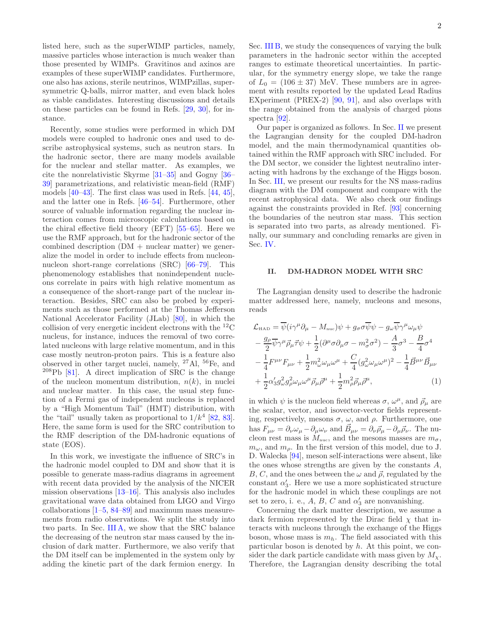listed here, such as the superWIMP particles, namely, massive particles whose interaction is much weaker than those presented by WIMPs. Gravitinos and axinos are examples of these superWIMP candidates. Furthermore, one also has axions, sterile neutrinos, WIMPzillas, supersymmetric Q-balls, mirror matter, and even black holes as viable candidates. Interesting discussions and details on these particles can be found in Refs. [\[29,](#page-10-2) [30](#page-10-3)], for instance.

Recently, some studies were performed in which DM models were coupled to hadronic ones and used to describe astrophysical systems, such as neutron stars. In the hadronic sector, there are many models available for the nuclear and stellar matter. As examples, we cite the nonrelativistic Skyrme [\[31](#page-10-4)[–35\]](#page-10-5) and Gogny [\[36](#page-10-6)– [39\]](#page-10-7) parametrizations, and relativistic mean-field (RMF) models [\[40](#page-10-8)[–43\]](#page-10-9). The first class was used in Refs. [\[44,](#page-10-10) [45\]](#page-10-11), and the latter one in Refs. [\[46](#page-10-12)[–54\]](#page-10-13). Furthermore, other source of valuable information regarding the nuclear interaction comes from microscopic calculations based on the chiral effective field theory (EFT) [\[55](#page-10-14)[–65](#page-10-15)]. Here we use the RMF approach, but for the hadronic sector of the combined description  $(DM + nuclear matter)$  we generalize the model in order to include effects from nucleonnucleon short-range correlations (SRC) [\[66](#page-10-16)[–79\]](#page-10-17). This phenomenology establishes that nonindependent nucleons correlate in pairs with high relative momentum as a consequence of the short-range part of the nuclear interaction. Besides, SRC can also be probed by experiments such as those performed at the Thomas Jefferson National Accelerator Facility (JLab) [\[80\]](#page-10-18), in which the collision of very energetic incident electrons with the  ${}^{12}$ C nucleus, for instance, induces the removal of two correlated nucleons with large relative momentum, and in this case mostly neutron-proton pairs. This is a feature also observed in other target nuclei, namely, <sup>27</sup>Al, <sup>56</sup>Fe, and  $208Pb$  [\[81\]](#page-10-19). A direct implication of SRC is the change of the nucleon momentum distribution,  $n(k)$ , in nuclei and nuclear matter. In this case, the usual step function of a Fermi gas of independent nucleons is replaced by a "High Momentum Tail" (HMT) distribution, with the "tail" usually taken as proportional to  $1/k^4$  [\[82,](#page-10-20) [83\]](#page-10-21). Here, the same form is used for the SRC contribution to the RMF description of the DM-hadronic equations of state (EOS).

In this work, we investigate the influence of SRC's in the hadronic model coupled to DM and show that it is possible to generate mass-radius diagrams in agreement with recent data provided by the analysis of the NICER mission observations [\[13](#page-9-7)[–16](#page-9-8)]. This analysis also includes gravitational wave data obtained from LIGO and Virgo collaborations [\[1](#page-9-0)[–5](#page-9-3), [84](#page-10-22)[–89\]](#page-10-23) and maximum mass measurements from radio observations. We split the study into two parts. In Sec. [III A,](#page-3-0) we show that the SRC balance the decreasing of the neutron star mass caused by the inclusion of dark matter. Furthermore, we also verify that the DM itself can be implemented in the system only by adding the kinetic part of the dark fermion energy. In Sec. [III B,](#page-7-0) we study the consequences of varying the bulk parameters in the hadronic sector within the accepted ranges to estimate theoretical uncertainties. In particular, for the symmetry energy slope, we take the range of  $L_0 = (106 \pm 37)$  MeV. These numbers are in agreement with results reported by the updated Lead Radius EXperiment (PREX-2) [\[90,](#page-10-24) [91\]](#page-10-25), and also overlaps with the range obtained from the analysis of charged pions spectra [\[92\]](#page-10-26).

Our paper is organized as follows. In Sec. [II](#page-1-0) we present the Lagrangian density for the coupled DM-hadron model, and the main thermodynamical quantities obtained within the RMF approach with SRC included. For the DM sector, we consider the lightest neutralino interacting with hadrons by the exchange of the Higgs boson. In Sec. [III,](#page-3-1) we present our results for the NS mass-radius diagram with the DM component and compare with the recent astrophysical data. We also check our findings against the constraints provided in Ref. [\[93\]](#page-11-0) concerning the boundaries of the neutron star mass. This section is separated into two parts, as already mentioned. Finally, our summary and concluding remarks are given in Sec. [IV.](#page-8-0)

## <span id="page-1-0"></span>II. DM-HADRON MODEL WITH SRC

The Lagrangian density used to describe the hadronic matter addressed here, namely, nucleons and mesons, reads

$$
\mathcal{L}_{\text{HAD}} = \overline{\psi}(i\gamma^{\mu}\partial_{\mu} - M_{\text{nuc}})\psi + g_{\sigma}\sigma\overline{\psi}\psi - g_{\omega}\overline{\psi}\gamma^{\mu}\omega_{\mu}\psi \n- \frac{g_{\rho}}{2}\overline{\psi}\gamma^{\mu}\vec{\rho}_{\mu}\vec{\tau}\psi + \frac{1}{2}(\partial^{\mu}\sigma\partial_{\mu}\sigma - m_{\sigma}^{2}\sigma^{2}) - \frac{A}{3}\sigma^{3} - \frac{B}{4}\sigma^{4} \n- \frac{1}{4}F^{\mu\nu}F_{\mu\nu} + \frac{1}{2}m_{\omega}^{2}\omega_{\mu}\omega^{\mu} + \frac{C}{4}(g_{\omega}^{2}\omega_{\mu}\omega^{\mu})^{2} - \frac{1}{4}\vec{B}^{\mu\nu}\vec{B}_{\mu\nu} \n+ \frac{1}{2}\alpha'_{3}g_{\omega}^{2}g_{\rho}^{2}\omega_{\mu}\omega^{\mu}\vec{\rho}_{\mu}\vec{\rho}^{\mu} + \frac{1}{2}m_{\rho}^{2}\vec{\rho}_{\mu}\vec{\rho}^{\mu},
$$
\n(1)

in which  $\psi$  is the nucleon field whereas  $\sigma$ ,  $\omega^{\mu}$ , and  $\vec{\rho}_{\mu}$  are the scalar, vector, and isovector-vector fields representing, respectively, mesons  $\sigma$ ,  $\omega$ , and  $\rho$ . Furthermore, one has  $F_{\mu\nu} = \partial_{\nu}\omega_{\mu} - \partial_{\mu}\omega_{\nu}$  and  $\vec{B}_{\mu\nu} = \partial_{\nu}\vec{\rho}_{\mu} - \partial_{\mu}\vec{\rho}_{\nu}$ . The nucleon rest mass is  $M_{\text{nuc}}$ , and the mesons masses are  $m_{\sigma}$ ,  $m_{\omega}$ , and  $m_{\rho}$ . In the first version of this model, due to J. D. Walecka [\[94](#page-11-1)], meson self-interactions were absent, like the ones whose strengths are given by the constants  $A$ , B, C, and the ones between the  $\omega$  and  $\vec{\rho}$ , regulated by the constant  $\alpha'_3.$  Here we use a more sophisticated structure for the hadronic model in which these couplings are not set to zero, i. e.,  $A$ ,  $B$ ,  $C$  and  $\alpha'_{3}$  are nonvanishing.

Concerning the dark matter description, we assume a dark fermion represented by the Dirac field  $\chi$  that interacts with nucleons through the exchange of the Higgs boson, whose mass is  $m_h$ . The field associated with this particular boson is denoted by  $h$ . At this point, we consider the dark particle candidate with mass given by  $M_{\gamma}$ . Therefore, the Lagrangian density describing the total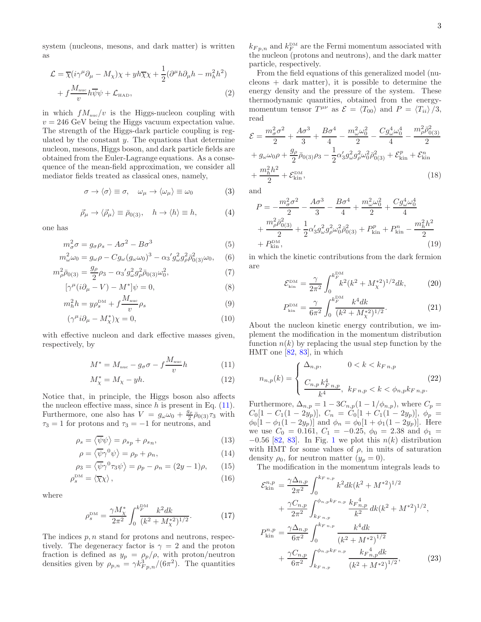system (nucleons, mesons, and dark matter) is written as

$$
\mathcal{L} = \overline{\chi}(i\gamma^{\mu}\partial_{\mu} - M_{\chi})\chi + yh\overline{\chi}\chi + \frac{1}{2}(\partial^{\mu}h\partial_{\mu}h - m_{h}^{2}h^{2})
$$

$$
+ f\frac{M_{\text{nuc}}}{v}h\overline{\psi}\psi + \mathcal{L}_{\text{HAD}}, \tag{2}
$$

in which  $f_{\text{M}_{\text{nuc}}}/v$  is the Higgs-nucleon coupling with  $v = 246$  GeV being the Higgs vacuum expectation value. The strength of the Higgs-dark particle coupling is regulated by the constant  $y$ . The equations that determine nucleon, mesons, Higgs boson, and dark particle fields are obtained from the Euler-Lagrange equations. As a consequence of the mean-field approximation, we consider all mediator fields treated as classical ones, namely,

$$
\sigma \to \langle \sigma \rangle \equiv \sigma, \quad \omega_{\mu} \to \langle \omega_{\mu} \rangle \equiv \omega_0 \tag{3}
$$

$$
\vec{\rho}_{\mu} \to \langle \vec{\rho}_{\mu} \rangle \equiv \bar{\rho}_{0(3)}, \quad h \to \langle h \rangle \equiv h, \tag{4}
$$

one has

$$
m_{\sigma}^{2}\sigma = g_{\sigma}\rho_{s} - A\sigma^{2} - B\sigma^{3}
$$
 (5)

$$
m_{\omega}^{2}\omega_{0} = g_{\omega}\rho - Cg_{\omega}(g_{\omega}\omega_{0})^{3} - \alpha_{3}^{\prime}g_{\omega}^{2}g_{\rho}^{2}\bar{\rho}_{0(3)}^{2}\omega_{0}, \quad (6)
$$
  

$$
m_{\omega}^{2}\bar{\rho}_{0} = g_{\rho}g_{\omega}g_{\omega}^{2}\bar{\rho}_{0(3)}^{2}\omega_{0}^{2} + g_{\omega}^{2}g_{\omega}^{2}\bar{\rho}_{0(3)}^{2}\omega_{0} + g_{\omega}^{2}g_{\omega}^{2}\bar{\rho}_{0(3)}^{2}\omega_{0} + g_{\omega}^{2}g_{\omega}^{2}\bar{\rho}_{0(3)}^{2}\omega_{0} + g_{\omega}^{2}g_{\omega}^{2}\bar{\rho}_{0(3)}^{2}\omega_{0} + g_{\omega}^{2}g_{\omega}^{2}\bar{\rho}_{0(3)}^{2}\omega_{0} + g_{\omega}^{2}g_{\omega}^{2}\bar{\rho}_{0(3)}^{2}\omega_{0} + g_{\omega}^{2}g_{\omega}^{2}\bar{\rho}_{0(3)}^{2}\omega_{0} + g_{\omega}^{2}g_{\omega}^{2}\bar{\rho}_{0(3)}^{2}\omega_{0} + g_{\omega}^{2}g_{\omega}^{2}\bar{\rho}_{0(3)}^{2}\omega_{0} + g_{\omega}^{2}g_{\omega}^{2}\bar{\rho}_{0(3)}^{2}\omega_{0} + g_{\omega}^{2}g_{\omega}^{2}\bar{\rho}_{0(3)}^{2}\omega_{0} + g_{\omega}^{2}g_{\omega}^{2}\bar{\rho}_{0(3)}^{2}\omega_{0} + g_{\omega}^{2}g_{\omega}^{2}\bar{\rho}_{0(3)}^{2}\omega_{0} + g_{\omega}^{2}g_{\omega}^{2}\bar{\rho}_{0(3)}^{2}\omega_{0} + g_{\omega}^{2}g_{\omega}^{2}\bar{\rho}_{0(3)}^{2}\omega_{0} + g_{\omega}^{2}g_{\omega}^{2}\bar{\rho}_{0(3)}^{2}\omega_{0} + g_{\omega}^{2}g_{\omega}^{2}\bar{\rho}_{0(3)}^{2}\omega_{0} + g_{\omega}^{2}g_{\omega}^{2}\bar{\rho}_{0(3)}^{2}\omega_{0} + g_{\omega}^{2}g_{\omega}^{2}\bar{\rho}_{0(3)}^{2}\omega_{0} + g_{\omega}^{
$$

$$
m_{\rho}^{2}\bar{\rho}_{0(3)} = \frac{g_{\rho}}{2}\rho_{3} - \alpha_{3}'g_{\omega}^{2}g_{\rho}^{2}\bar{\rho}_{0(3)}\omega_{0}^{2},\tag{7}
$$

$$
[\gamma^{\mu}(i\partial_{\mu} - V) - M^*]\psi = 0,
$$
\n
$$
{}_{2}^{2}, \quad {}_{\text{DM} + \epsilon} M_{\text{nuc}} \tag{8}
$$

$$
m_h^2 h = y \rho_s^{\text{DM}} + f \frac{m_{\text{nuc}}}{v} \rho_s \tag{9}
$$

$$
(\gamma^{\mu}i\partial_{\mu} - M_{\chi}^{*})\chi = 0, \qquad (10)
$$

with effective nucleon and dark effective masses given, respectively, by

$$
M^* = M_{\text{nuc}} - g_{\sigma}\sigma - f\frac{M_{\text{nuc}}}{v}h\tag{11}
$$

$$
M_{\chi}^* = M_{\chi} - yh. \tag{12}
$$

Notice that, in principle, the Higgs boson also affects the nucleon effective mass, since  $h$  is present in Eq.  $(11)$ . Furthermore, one also has  $V = g_{\omega}\omega_0 + \frac{g_{\rho}}{2}$  $\frac{q_{\rho}}{2}\bar{\rho}_{0(3)}\tau_3$  with  $\tau_3 = 1$  for protons and  $\tau_3 = -1$  for neutrons, and

$$
\rho_s = \langle \overline{\psi} \psi \rangle = \rho_{s_p} + \rho_{s_n},\tag{13}
$$

$$
\rho = \langle \overline{\psi} \gamma^0 \psi \rangle = \rho_p + \rho_n, \tag{14}
$$

$$
\rho_3 = \langle \overline{\psi} \gamma^0 \tau_3 \psi \rangle = \rho_p - \rho_n = (2y - 1)\rho, \qquad (15)
$$

$$
\rho_s^{\rm DM} = \langle \overline{\chi} \chi \rangle \,, \tag{16}
$$

where

$$
\rho_s^{\rm DM} = \frac{\gamma M_{\chi}^*}{2\pi^2} \int_0^{k_F^{\rm DM}} \frac{k^2 dk}{(k^2 + M_{\chi}^{*2})^{1/2}}.
$$
 (17)

The indices  $p, n$  stand for protons and neutrons, respectively. The degeneracy factor is  $\gamma = 2$  and the proton fraction is defined as  $y_p = \rho_p/\rho$ , with proton/neutron densities given by  $\rho_{p,n} = \gamma k_{Fp,n}^3/(6\pi^2)$ . The quantities

 $k_{F, p, n}$  and  $k_F^{\text{DM}}$  are the Fermi momentum associated with the nucleon (protons and neutrons), and the dark matter particle, respectively.

<span id="page-2-3"></span>From the field equations of this generalized model (nu- $\alpha$  cleons  $+$  dark matter), it is possible to determine the energy density and the pressure of the system. These thermodynamic quantities, obtained from the energymomentum tensor  $T^{\mu\nu}$  as  $\mathcal{E} = \langle T_{00} \rangle$  and  $P = \langle T_{ii} \rangle /3$ , read

$$
\mathcal{E} = \frac{m_{\sigma}^2 \sigma^2}{2} + \frac{A\sigma^3}{3} + \frac{B\sigma^4}{4} - \frac{m_{\omega}^2 \omega_0^2}{2} - \frac{Cg_{\omega}^4 \omega_0^4}{4} - \frac{m_{\rho}^2 \bar{\rho}_{0(3)}^2}{2} + g_{\omega}\omega_0 \rho + \frac{g_{\rho}}{2} \bar{\rho}_{0(3)} \rho_3 - \frac{1}{2} \alpha_3' g_{\omega}^2 g_{\rho}^2 \omega_0^2 \bar{\rho}_{0(3)}^2 + \mathcal{E}_{\text{kin}}^p + \mathcal{E}_{\text{kin}}^n + \frac{m_h^2 h^2}{2} + \mathcal{E}_{\text{kin}}^{\text{DM}},
$$
\n(18)

and

<span id="page-2-5"></span>
$$
P = -\frac{m_{\sigma}^2 \sigma^2}{2} - \frac{A\sigma^3}{3} - \frac{B\sigma^4}{4} + \frac{m_{\omega}^2 \omega_0^2}{2} + \frac{Cg_{\omega}^4 \omega_0^4}{4} + \frac{m_{\rho}^2 \bar{p}_{0(3)}^2}{2} + \frac{1}{2} \alpha_3' g_{\omega}^2 g_{\rho}^2 \omega_0^2 \bar{p}_{0(3)}^2 + P_{\text{kin}}^p + P_{\text{kin}}^n - \frac{m_h^2 h^2}{2} + P_{\text{kin}}^{\text{DM}},
$$
\n(19)

in which the kinetic contributions from the dark fermion are

<span id="page-2-7"></span><span id="page-2-6"></span>
$$
\mathcal{E}_{\rm kin}^{\rm DM} = \frac{\gamma}{2\pi^2} \int_0^{k_F^{\rm DM}} k^2 (k^2 + M_\chi^{*2})^{1/2} dk, \tag{20}
$$

$$
P_{\rm kin}^{\rm DM} = \frac{\gamma}{6\pi^2} \int_0^{k_F^{\rm DM}} \frac{k^4 dk}{(k^2 + M_{\chi}^{*2})^{1/2}}.
$$
 (21)

About the nucleon kinetic energy contribution, we implement the modification in the momentum distribution function  $n(k)$  by replacing the usual step function by the HMT one [\[82](#page-10-20), [83](#page-10-21)], in which

<span id="page-2-1"></span><span id="page-2-0"></span>
$$
n_{n,p}(k) = \begin{cases} \Delta_{n,p}, & 0 < k < k_{F,n,p} \\ \frac{C_{n,p} k_{F,n,p}^4}{k^4}, & k_{F,n,p} < k < \phi_{n,p} k_{F,n,p}. \end{cases}
$$
(22)

<span id="page-2-4"></span><span id="page-2-2"></span>Furthermore,  $\Delta_{n,p} = 1 - 3C_{n,p}(1 - 1/\phi_{n,p})$ , where  $C_p =$  $C_0[1 - C_1(1 - 2y_p)], C_n = \tilde{C}_0[1 + C_1(1 - 2y_p)], \phi_p =$  $\phi_0[1 - \phi_1(1 - 2y_p)]$  and  $\phi_n = \phi_0[1 + \phi_1(1 - 2y_p)]$ . Here we use  $C_0 = 0.161, C_1 = -0.25, \phi_0 = 2.38$  and  $\phi_1 =$  $-0.56$  [\[82](#page-10-20), [83\]](#page-10-21). In Fig. [1](#page-3-2) we plot this  $n(k)$  distribution with HMT for some values of  $\rho$ , in units of saturation density  $\rho_0$ , for neutron matter  $(y_p = 0)$ .

The modification in the momentum integrals leads to

$$
\mathcal{E}_{\rm kin}^{n,p} = \frac{\gamma \Delta_{n,p}}{2\pi^2} \int_0^{k_{F,n,p}} k^2 dk (k^2 + M^{*2})^{1/2} \n+ \frac{\gamma C_{n,p}}{2\pi^2} \int_{k_{F,n,p}}^{\phi_{n,p} k_{F,n,p}} \frac{k_{F,n,p}^4}{k^2} dk (k^2 + M^{*2})^{1/2},
$$
\n
$$
P_{\rm kin}^{n,p} = \frac{\gamma \Delta_{n,p}}{6\pi^2} \int_0^{k_{F,n,p}} \frac{k^4 dk}{(k^2 + M^{*2})^{1/2}} \n+ \frac{\gamma C_{n,p}}{6\pi^2} \int_{k_{F,n,p}}^{\phi_{n,p} k_{F,n,p}} \frac{k_{F,n,p}^4 dk}{(k^2 + M^{*2})^{1/2}},
$$
\n(23)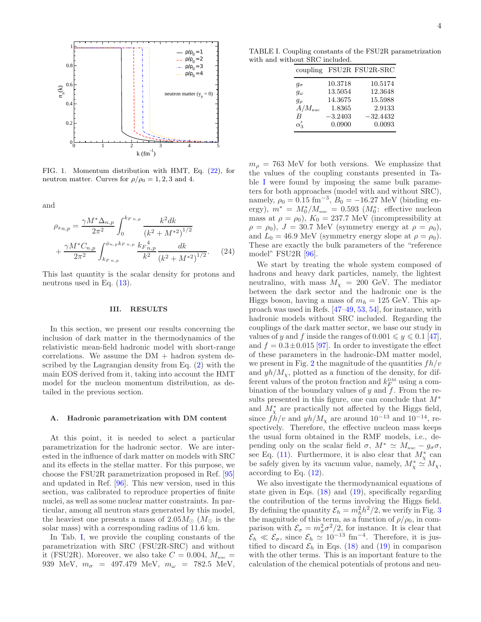

<span id="page-3-2"></span>FIG. 1. Momentum distribution with HMT, Eq. [\(22\)](#page-2-1), for neutron matter. Curves for  $\rho/\rho_0 = 1, 2, 3$  and 4.

and

$$
\rho_{s_{n,p}} = \frac{\gamma M^* \Delta_{n,p}}{2\pi^2} \int_0^{k_{F_{n,p}}} \frac{k^2 dk}{(k^2 + M^{*2})^{1/2}} + \frac{\gamma M^* C_{n,p}}{2\pi^2} \int_{k_{F_{n,p}}}^{\phi_{n,p} k_{F_{n,p}}} \frac{k_{F_{n,p}}^4}{k^2} \frac{dk}{(k^2 + M^{*2})^{1/2}}.
$$
 (24)

This last quantity is the scalar density for protons and neutrons used in Eq.  $(13)$ .

#### <span id="page-3-1"></span>III. RESULTS

In this section, we present our results concerning the inclusion of dark matter in the thermodynamics of the relativistic mean-field hadronic model with short-range correlations. We assume the  $DM + hadron$  system described by the Lagrangian density from Eq. [\(2\)](#page-2-3) with the main EOS derived from it, taking into account the HMT model for the nucleon momentum distribution, as detailed in the previous section.

#### <span id="page-3-0"></span>A. Hadronic parametrization with DM content

At this point, it is needed to select a particular parametrization for the hadronic sector. We are interested in the influence of dark matter on models with SRC and its effects in the stellar matter. For this purpose, we choose the FSU2R parametrization proposed in Ref. [\[95](#page-11-2)] and updated in Ref. [\[96](#page-11-3)]. This new version, used in this section, was calibrated to reproduce properties of finite nuclei, as well as some nuclear matter constraints. In particular, among all neutron stars generated by this model, the heaviest one presents a mass of 2.05 $M_{\odot}$  ( $M_{\odot}$ ) is the solar mass) with a corresponding radius of 11.6 km.

In Tab. [I,](#page-3-3) we provide the coupling constants of the parametrization with SRC (FSU2R-SRC) and without it (FSU2R). Moreover, we also take  $C = 0.004$ ,  $M_{\text{nuc}} =$ 939 MeV,  $m_{\sigma}$  = 497.479 MeV,  $m_{\omega}$  = 782.5 MeV,

TABLE I. Coupling constants of the FSU2R parametrization with and without SRC included.

<span id="page-3-3"></span>

|                 |           | coupling FSU2R FSU2R-SRC |
|-----------------|-----------|--------------------------|
| $g_{\sigma}$    | 10.3718   | 10.5174                  |
| $g_{\omega}$    | 13.5054   | 12.3648                  |
| $g_{\rho}$      | 14.3675   | 15.5988                  |
| $A/M_{\rm nuc}$ | 1.8365    | 2.9133                   |
| B               | $-3.2403$ | $-32.4432$               |
| $\alpha'$       | 0.0900    | 0.0093                   |
|                 |           |                          |

 $m_{\rho}$  = 763 MeV for both versions. We emphasize that the values of the coupling constants presented in Ta-ble [I](#page-3-3) were found by imposing the same bulk parameters for both approaches (model with and without SRC), namely,  $\rho_0 = 0.15 \text{ fm}^{-3}$ ,  $B_0 = -16.27 \text{ MeV}$  (binding energy),  $m^* = M_0^*/M_{\text{nuc}} = 0.593$  ( $M_0^*$ : effective nucleon mass at  $\rho = \rho_0$ ),  $K_0 = 237.7$  MeV (incompressibility at  $\rho = \rho_0$ ),  $J = 30.7$  MeV (symmetry energy at  $\rho = \rho_0$ ), and  $L_0 = 46.9$  MeV (symmetry energy slope at  $\rho = \rho_0$ ). These are exactly the bulk parameters of the "reference model" FSU2R [\[96\]](#page-11-3).

We start by treating the whole system composed of hadrons and heavy dark particles, namely, the lightest neutralino, with mass  $M_{\chi} = 200$  GeV. The mediator between the dark sector and the hadronic one is the Higgs boson, having a mass of  $m_h = 125$  GeV. This approach was used in Refs. [\[47](#page-10-27)[–49](#page-10-28), [53,](#page-10-29) [54\]](#page-10-13), for instance, with hadronic models without SRC included. Regarding the couplings of the dark matter sector, we base our study in values of y and f inside the ranges of  $0.001 \leq y \leq 0.1$  [\[47\]](#page-10-27), and  $f = 0.3 \pm 0.015$  [\[97](#page-11-4)]. In order to investigate the effect of these parameters in the hadronic-DM matter model, we present in Fig. [2](#page-4-0) the magnitude of the quantities  $fh/v$ and  $yh/M<sub>x</sub>$ , plotted as a function of the density, for different values of the proton fraction and  $k_F^{\text{DM}}$  using a combination of the boundary values of  $y$  and  $f$ . From the results presented in this figure, one can conclude that  $M^*$ and  $M_{\chi}^*$  are practically not affected by the Higgs field, since  $f\ddot{h}/v$  and  $yh/M_{\chi}$  are around  $10^{-13}$  and  $10^{-14}$ , respectively. Therefore, the effective nucleon mass keeps the usual form obtained in the RMF models, i.e., depending only on the scalar field  $\sigma$ ,  $M^* \simeq M_{\text{nuc}} - g_{\sigma} \sigma$ , see Eq. [\(11\)](#page-2-0). Furthermore, it is also clear that  $M_{\chi}^*$  can be safely given by its vacuum value, namely,  $M_{\chi}^* \stackrel{\sim}{\simeq} M_{\chi}$ , according to Eq. [\(12\)](#page-2-4).

We also investigate the thermodynamical equations of state given in Eqs. [\(18\)](#page-2-5) and [\(19\)](#page-2-6), specifically regarding the contribution of the terms involving the Higgs field. By defining the quantity  $\mathcal{E}_h = m_h^2 h^2/2$ , we verify in Fig. [3](#page-4-1) the magnitude of this term, as a function of  $\rho/\rho_0$ , in comparison with  $\mathcal{E}_{\sigma} = m_{\sigma}^2 \sigma^2 / 2$ , for instance. It is clear that  $\mathcal{E}_h \ll \mathcal{E}_{\sigma}$ , since  $\mathcal{E}_h \simeq 10^{-13}$  fm<sup>-4</sup>. Therefore, it is justified to discard  $\mathcal{E}_h$  in Eqs. [\(18\)](#page-2-5) and [\(19\)](#page-2-6) in comparison with the other terms. This is an important feature to the calculation of the chemical potentials of protons and neu-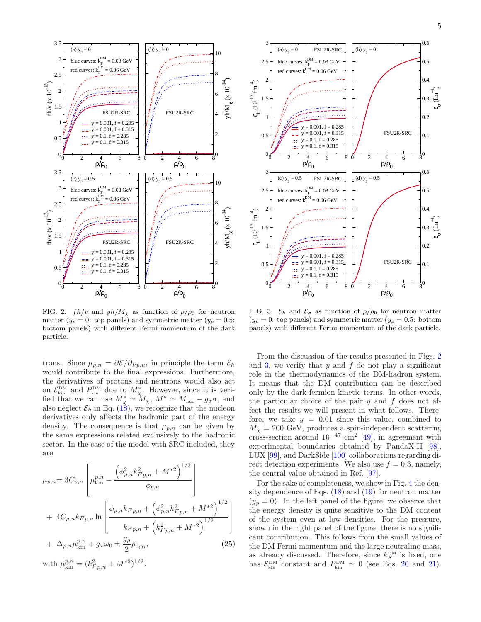



<span id="page-4-0"></span>FIG. 2.  $fh/v$  and  $yh/M_x$  as function of  $\rho/\rho_0$  for neutron matter  $(y_p = 0$ : top panels) and symmetric matter  $(y_p = 0.5$ : bottom panels) with different Fermi momentum of the dark particle.

trons. Since  $\mu_{p,n} = \partial \mathcal{E}/\partial \rho_{p,n}$ , in principle the term  $\mathcal{E}_h$ would contribute to the final expressions. Furthermore, the derivatives of protons and neutrons would also act on  $\mathcal{E}_{\text{kin}}^{\text{DM}}$  and  $P_{\text{kin}}^{\text{DM}}$  due to  $M_{\chi}^{*}$ . However, since it is verified that we can use  $M^*_{\chi} \simeq M_{\chi}$ ,  $M^* \simeq M_{\text{nuc}} - g_{\sigma} \sigma$ , and also neglect  $\mathcal{E}_h$  in Eq. [\(18\)](#page-2-5), we recognize that the nucleon derivatives only affects the hadronic part of the energy density. The consequence is that  $\mu_{p,n}$  can be given by the same expressions related exclusively to the hadronic sector. In the case of the model with SRC included, they are

$$
\mu_{p,n} = 3C_{p,n} \left[ \mu_{\text{kin}}^{p,n} - \frac{\left(\phi_{p,n}^2 k_{F,p,n}^2 + M^{*2}\right)^{1/2}}{\phi_{p,n}} \right] + 4C_{p,n} k_{F,p,n} \ln \left[ \frac{\phi_{p,n} k_{F,p,n} + \left(\phi_{p,n}^2 k_{F,p,n}^2 + M^{*2}\right)^{1/2}}{k_{F,p,n} + \left(k_{F,p,n}^2 + M^{*2}\right)^{1/2}} \right] + \Delta_{p,n} \mu_{\text{kin}}^{p,n} + g_{\omega} \omega_0 \pm \frac{g_{\rho}}{2} \bar{\rho}_{0_{(3)}}, \tag{25}
$$

with  $\mu_{\text{kin}}^{p,n} = (k_{Fp,n}^2 + M^{*2})^{1/2}$ .



<span id="page-4-1"></span>FIG. 3.  $\mathcal{E}_h$  and  $\mathcal{E}_{\sigma}$  as function of  $\rho/\rho_0$  for neutron matter  $(y_p = 0:$  top panels) and symmetric matter  $(y_p = 0.5:$  bottom panels) with different Fermi momentum of the dark particle.

From the discussion of the results presented in Figs. [2](#page-4-0) and [3,](#page-4-1) we verify that  $y$  and  $f$  do not play a significant role in the thermodynamics of the DM-hadron system. It means that the DM contribution can be described only by the dark fermion kinetic terms. In other words, the particular choice of the pair  $y$  and  $f$  does not affect the results we will present in what follows. Therefore, we take  $y = 0.01$  since this value, combined to  $M_{\chi} = 200$  GeV, produces a spin-independent scattering cross-section around  $10^{-47}$  cm<sup>2</sup> [\[49](#page-10-28)], in agreement with experimental boundaries obtained by PandaX-II [\[98\]](#page-11-5), LUX [\[99](#page-11-6)], and DarkSide [\[100\]](#page-11-7) collaborations regarding direct detection experiments. We also use  $f = 0.3$ , namely, the central value obtained in Ref. [\[97](#page-11-4)].

For the sake of completeness, we show in Fig. [4](#page-5-0) the density dependence of Eqs.  $(18)$  and  $(19)$  for neutron matter  $(y_p = 0)$ . In the left panel of the figure, we observe that the energy density is quite sensitive to the DM content of the system even at low densities. For the pressure, shown in the right panel of the figure, there is no significant contribution. This follows from the small values of the DM Fermi momentum and the large neutralino mass, as already discussed. Therefore, since  $k_F^{\text{DM}}$  is fixed, one has  $\mathcal{E}_{\text{kin}}^{\text{DM}}$  constant and  $P_{\text{kin}}^{\text{DM}} \simeq 0$  (see Eqs. [20](#page-2-7) and [21\)](#page-2-7).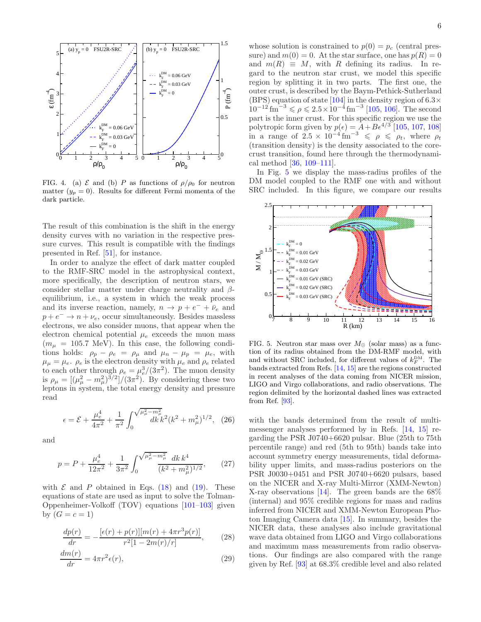

<span id="page-5-0"></span>FIG. 4. (a)  $\mathcal E$  and (b) P as functions of  $\rho/\rho_0$  for neutron matter  $(y_p = 0)$ . Results for different Fermi momenta of the dark particle.

The result of this combination is the shift in the energy density curves with no variation in the respective pressure curves. This result is compatible with the findings presented in Ref. [\[51\]](#page-10-30), for instance.

In order to analyze the effect of dark matter coupled to the RMF-SRC model in the astrophysical context, more specifically, the description of neutron stars, we consider stellar matter under charge neutrality and  $\beta$ equilibrium, i.e., a system in which the weak process and its inverse reaction, namely,  $n \to p + e^- + \bar{\nu}_e$  and  $p + e^- \rightarrow n + \nu_e$ , occur simultaneously. Besides massless electrons, we also consider muons, that appear when the electron chemical potential  $\mu_e$  exceeds the muon mass  $(m_{\mu} = 105.7 \text{ MeV})$ . In this case, the following conditions holds:  $\rho_p - \rho_e = \rho_\mu$  and  $\mu_n - \mu_p = \mu_e$ , with  $\mu_{\mu} = \mu_e$ .  $\rho_e$  is the electron density with  $\mu_e$  and  $\rho_e$  related to each other through  $\rho_e = \mu_e^3/(3\pi^2)$ . The muon density is  $\rho_{\mu} = \left[ (\mu_{\mu}^2 - m_{\mu}^2)^{3/2} \right] / (3\pi^2)$ . By considering these two leptons in system, the total energy density and pressure read

$$
\epsilon = \mathcal{E} + \frac{\mu_e^4}{4\pi^2} + \frac{1}{\pi^2} \int_0^{\sqrt{\mu_\mu^2 - m_\mu^2}} dk k^2 (k^2 + m_\mu^2)^{1/2}, \quad (26)
$$

and

$$
p = P + \frac{\mu_e^4}{12\pi^2} + \frac{1}{3\pi^2} \int_0^{\sqrt{\mu_\mu^2 - m_\mu^2}} \frac{dk \, k^4}{(k^2 + m_\mu^2)^{1/2}},\qquad(27)
$$

with  $\mathcal E$  and  $P$  obtained in Eqs. [\(18\)](#page-2-5) and [\(19\)](#page-2-6). These equations of state are used as input to solve the Tolman-Oppenheimer-Volkoff (TOV) equations [\[101](#page-11-8)[–103\]](#page-11-9) given by  $(G = c = 1)$ 

$$
\frac{dp(r)}{dr} = -\frac{[\epsilon(r) + p(r)][m(r) + 4\pi r^3 p(r)]}{r^2 [1 - 2m(r)/r]},\qquad(28)
$$

$$
\frac{dm(r)}{dr} = 4\pi r^2 \epsilon(r),\tag{29}
$$

whose solution is constrained to  $p(0) = p_c$  (central pressure) and  $m(0) = 0$ . At the star surface, one has  $p(R) = 0$ and  $m(R) \equiv M$ , with R defining its radius. In regard to the neutron star crust, we model this specific region by splitting it in two parts. The first one, the outer crust, is described by the Baym-Pethick-Sutherland (BPS) equation of state [\[104\]](#page-11-10) in the density region of  $6.3\times$  $10^{-12}$  fm<sup>-3</sup>  $\le \rho \le 2.5 \times 10^{-4}$  fm<sup>-3</sup> [\[105,](#page-11-11) [106\]](#page-11-12). The second part is the inner crust. For this specific region we use the polytropic form given by  $p(\epsilon) = A + B\epsilon^{4/3}$  [\[105,](#page-11-11) [107,](#page-11-13) [108\]](#page-11-14) in a range of  $2.5 \times 10^{-4}$  fm<sup>-3</sup>  $\leq \rho \leq \rho_t$ , where  $\rho_t$ (transition density) is the density associated to the corecrust transition, found here through the thermodynamical method [\[36,](#page-10-6) [109–](#page-11-15)[111\]](#page-11-16).

In Fig. [5](#page-5-1) we display the mass-radius profiles of the DM model coupled to the RMF one with and without SRC included. In this figure, we compare our results



<span id="page-5-1"></span>FIG. 5. Neutron star mass over  $M_{\odot}$  (solar mass) as a function of its radius obtained from the DM-RMF model, with and without SRC included, for different values of  $k_F^{\text{DM}}$ . The bands extracted from Refs. [\[14](#page-9-16), [15](#page-9-17)] are the regions constructed in recent analyses of the data coming from NICER mission, LIGO and Virgo collaborations, and radio observations. The region delimited by the horizontal dashed lines was extracted from Ref. [\[93\]](#page-11-0).

with the bands determined from the result of multimessenger analyses performed by in Refs. [\[14,](#page-9-16) [15\]](#page-9-17) regarding the PSR J0740+6620 pulsar. Blue (25th to 75th percentile range) and red (5th to 95th) bands take into account symmetry energy measurements, tidal deformability upper limits, and mass-radius posteriors on the PSR J0030+0451 and PSR J0740+6620 pulsars, based on the NICER and X-ray Multi-Mirror (XMM-Newton) X-ray observations [\[14\]](#page-9-16). The green bands are the 68% (internal) and 95% credible regions for mass and radius inferred from NICER and XMM-Newton European Photon Imaging Camera data [\[15\]](#page-9-17). In summary, besides the NICER data, these analyses also include gravitational wave data obtained from LIGO and Virgo collaborations and maximum mass measurements from radio observations. Our findings are also compared with the range given by Ref. [\[93\]](#page-11-0) at 68.3% credible level and also related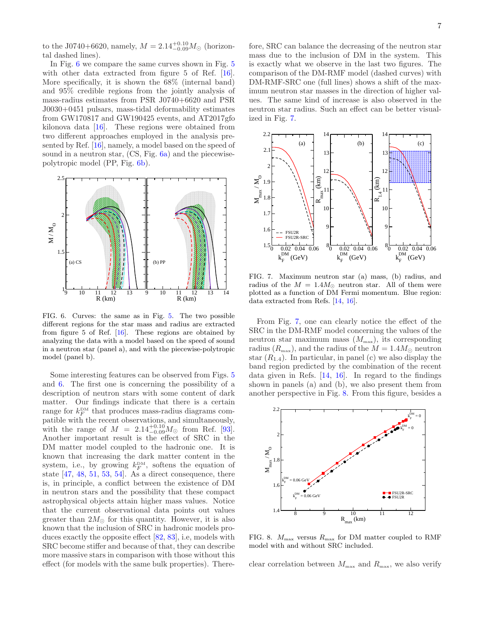to the J0740+6620, namely,  $M = 2.14_{-0.09}^{+0.10} M_{\odot}$  (horizontal dashed lines).

In Fig. [6](#page-6-0) we compare the same curves shown in Fig. [5](#page-5-1) with other data extracted from figure 5 of Ref. [\[16\]](#page-9-8). More specifically, it is shown the 68% (internal band) and 95% credible regions from the jointly analysis of mass-radius estimates from PSR J0740+6620 and PSR J0030+0451 pulsars, mass-tidal deformability estimates from GW170817 and GW190425 events, and AT2017gfo kilonova data [\[16\]](#page-9-8). These regions were obtained from two different approaches employed in the analysis presented by Ref. [\[16](#page-9-8)], namely, a model based on the speed of sound in a neutron star, (CS, Fig. [6a](#page-6-0)) and the piecewisepolytropic model (PP, Fig. [6b](#page-6-0)).



<span id="page-6-0"></span>FIG. 6. Curves: the same as in Fig. [5.](#page-5-1) The two possible different regions for the star mass and radius are extracted from figure 5 of Ref. [\[16](#page-9-8)]. These regions are obtained by analyzing the data with a model based on the speed of sound in a neutron star (panel a), and with the piecewise-polytropic model (panel b).

Some interesting features can be observed from Figs. [5](#page-5-1) and [6.](#page-6-0) The first one is concerning the possibility of a description of neutron stars with some content of dark matter. Our findings indicate that there is a certain range for  $k_F^{\text{DM}}$  that produces mass-radius diagrams compatible with the recent observations, and simultaneously, with the range of  $M = 2.14_{-0.09}^{+0.10} M_{\odot}$  from Ref. [\[93\]](#page-11-0). Another important result is the effect of SRC in the DM matter model coupled to the hadronic one. It is known that increasing the dark matter content in the system, i.e., by growing  $k_F^{\text{DM}}$ , softens the equation of state  $[47, 48, 51, 53, 54]$  $[47, 48, 51, 53, 54]$  $[47, 48, 51, 53, 54]$  $[47, 48, 51, 53, 54]$  $[47, 48, 51, 53, 54]$  $[47, 48, 51, 53, 54]$  $[47, 48, 51, 53, 54]$  $[47, 48, 51, 53, 54]$ . As a direct consequence, there is, in principle, a conflict between the existence of DM in neutron stars and the possibility that these compact astrophysical objects attain higher mass values. Notice that the current observational data points out values greater than  $2M_{\odot}$  for this quantity. However, it is also known that the inclusion of SRC in hadronic models produces exactly the opposite effect [\[82,](#page-10-20) [83](#page-10-21)], i.e, models with SRC become stiffer and because of that, they can describe more massive stars in comparison with those without this effect (for models with the same bulk properties). There-

fore, SRC can balance the decreasing of the neutron star mass due to the inclusion of DM in the system. This is exactly what we observe in the last two figures. The comparison of the DM-RMF model (dashed curves) with DM-RMF-SRC one (full lines) shows a shift of the maximum neutron star masses in the direction of higher values. The same kind of increase is also observed in the neutron star radius. Such an effect can be better visualized in Fig. [7.](#page-6-1)



<span id="page-6-1"></span>FIG. 7. Maximum neutron star (a) mass, (b) radius, and radius of the  $M = 1.4 M_{\odot}$  neutron star. All of them were plotted as a function of DM Fermi momentum. Blue region: data extracted from Refs. [\[14](#page-9-16), [16](#page-9-8)].

From Fig. [7,](#page-6-1) one can clearly notice the effect of the SRC in the DM-RMF model concerning the values of the neutron star maximum mass  $(M_{\text{max}})$ , its corresponding radius  $(R_{\text{max}})$ , and the radius of the  $M = 1.4 M_{\odot}$  neutron star  $(R_{1,4})$ . In particular, in panel (c) we also display the band region predicted by the combination of the recent data given in Refs. [\[14,](#page-9-16) [16](#page-9-8)]. In regard to the findings shown in panels (a) and (b), we also present them from another perspective in Fig. [8.](#page-6-2) From this figure, besides a



<span id="page-6-2"></span>FIG. 8.  $M_{\text{max}}$  versus  $R_{\text{max}}$  for DM matter coupled to RMF model with and without SRC included.

clear correlation between  $M_{\text{max}}$  and  $R_{\text{max}}$ , we also verify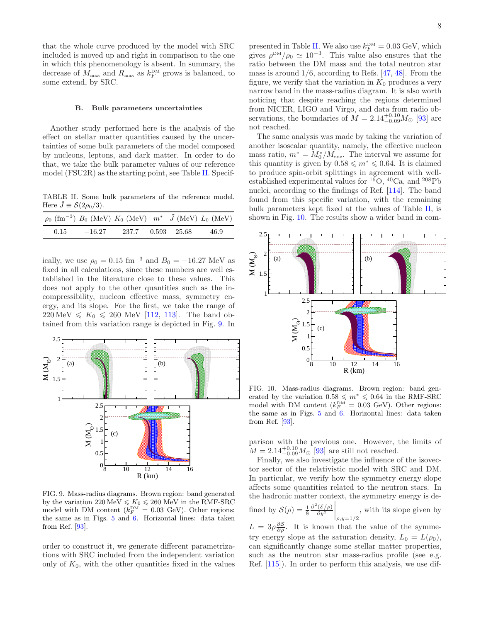that the whole curve produced by the model with SRC included is moved up and right in comparison to the one in which this phenomenology is absent. In summary, the decrease of  $M_{\text{max}}$  and  $R_{\text{max}}$  as  $k_F^{\text{DM}}$  grows is balanced, to some extend, by SRC.

### <span id="page-7-0"></span>B. Bulk parameters uncertainties

Another study performed here is the analysis of the effect on stellar matter quantities caused by the uncertainties of some bulk parameters of the model composed by nucleons, leptons, and dark matter. In order to do that, we take the bulk parameter values of our reference model (FSU2R) as the starting point, see Table [II.](#page-7-1) Specif-

<span id="page-7-1"></span>TABLE II. Some bulk parameters of the reference model. Here  $\tilde{J} \equiv \mathcal{S}(2\rho_0/3)$ .

|      |          | $\rho_0$ (fm <sup>-3</sup> ) $B_0$ (MeV) $K_0$ (MeV) $m^*$ $\tilde{J}$ (MeV) $L_0$ (MeV) |  |      |
|------|----------|------------------------------------------------------------------------------------------|--|------|
| 0.15 | $-16.27$ | 237.7 0.593 25.68                                                                        |  | 46.9 |

ically, we use  $\rho_0 = 0.15 \text{ fm}^{-3}$  and  $B_0 = -16.27 \text{ MeV}$  as fixed in all calculations, since these numbers are well established in the literature close to these values. This does not apply to the other quantities such as the incompressibility, nucleon effective mass, symmetry energy, and its slope. For the first, we take the range of  $220 \,\text{MeV} \le K_0 \le 260 \,\text{MeV}$  [\[112,](#page-11-17) [113\]](#page-11-18). The band obtained from this variation range is depicted in Fig. [9.](#page-7-2) In



<span id="page-7-2"></span>FIG. 9. Mass-radius diagrams. Brown region: band generated by the variation  $220 \text{ MeV} \leq K_0 \leq 260 \text{ MeV}$  in the RMF-SRC model with DM content  $(k_F^{\text{DM}} = 0.03 \text{ GeV})$ . Other regions: the same as in Figs. [5](#page-5-1) and [6.](#page-6-0) Horizontal lines: data taken from Ref. [\[93\]](#page-11-0).

order to construct it, we generate different parametrizations with SRC included from the independent variation only of  $K_0$ , with the other quantities fixed in the values

presented in Table [II.](#page-7-1) We also use  $k_F^{\text{DM}} = 0.03 \text{ GeV}$ , which gives  $\rho^{\text{DM}}/ \rho_0 \simeq 10^{-3}$ . This value also ensures that the ratio between the DM mass and the total neutron star mass is around  $1/6$ , according to Refs. [\[47](#page-10-27), [48\]](#page-10-31). From the figure, we verify that the variation in  $K_0$  produces a very narrow band in the mass-radius diagram. It is also worth noticing that despite reaching the regions determined from NICER, LIGO and Virgo, and data from radio observations, the boundaries of  $M = 2.14_{-0.09}^{+0.10} M_{\odot}$  [\[93\]](#page-11-0) are not reached.

The same analysis was made by taking the variation of another isoscalar quantity, namely, the effective nucleon mass ratio,  $m^* = M_0^*/M_{\text{nuc}}$ . The interval we assume for this quantity is given by  $0.58 \le m^* \le 0.64$ . It is claimed to produce spin-orbit splittings in agreement with wellestablished experimental values for  ${}^{16}O$ ,  ${}^{40}Ca$ , and  ${}^{208}Pb$ nuclei, according to the findings of Ref. [\[114\]](#page-11-19). The band found from this specific variation, with the remaining bulk parameters kept fixed at the values of Table [II,](#page-7-1) is shown in Fig. [10.](#page-7-3) The results show a wider band in com-



<span id="page-7-3"></span>FIG. 10. Mass-radius diagrams. Brown region: band generated by the variation  $0.58 \le m^* \le 0.64$  in the RMF-SRC model with DM content  $(k_F^{\text{DM}} = 0.03 \text{ GeV})$ . Other regions: the same as in Figs. [5](#page-5-1) and [6.](#page-6-0) Horizontal lines: data taken from Ref. [\[93\]](#page-11-0).

parison with the previous one. However, the limits of  $M = 2.14_{-0.09}^{+0.10} M_{\odot}$  [\[93](#page-11-0)] are still not reached.

Finally, we also investigate the influence of the isovector sector of the relativistic model with SRC and DM. In particular, we verify how the symmetry energy slope affects some quantities related to the neutron stars. In the hadronic matter context, the symmetry energy is de-

find by 
$$
\mathcal{S}(\rho) = \frac{1}{8} \frac{\partial^2 (\mathcal{E}/\rho)}{\partial y^2} \bigg|_{\rho, y=1/2}
$$
, with its slope given by

 $L = 3\rho \frac{\partial S}{\partial \rho}$ . It is known that the value of the symmetry energy slope at the saturation density,  $L_0 = L(\rho_0)$ , can significantly change some stellar matter properties, such as the neutron star mass-radius profile (see e.g. Ref. [\[115\]](#page-11-20)). In order to perform this analysis, we use dif-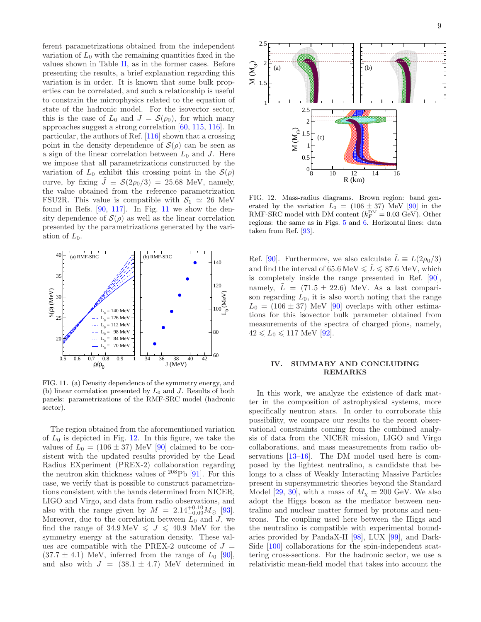ferent parametrizations obtained from the independent variation of  $L_0$  with the remaining quantities fixed in the values shown in Table [II,](#page-7-1) as in the former cases. Before presenting the results, a brief explanation regarding this variation is in order. It is known that some bulk properties can be correlated, and such a relationship is useful to constrain the microphysics related to the equation of state of the hadronic model. For the isovector sector, this is the case of  $L_0$  and  $J = \mathcal{S}(\rho_0)$ , for which many approaches suggest a strong correlation [\[60](#page-10-32), [115,](#page-11-20) [116](#page-11-21)]. In particular, the authors of Ref. [\[116\]](#page-11-21) shown that a crossing point in the density dependence of  $\mathcal{S}(\rho)$  can be seen as a sign of the linear correlation between  $L_0$  and J. Here we impose that all parametrizations constructed by the variation of  $L_0$  exhibit this crossing point in the  $\mathcal{S}(\rho)$ curve, by fixing  $\tilde{J} \equiv \mathcal{S}(2\rho_0/3) = 25.68$  MeV, namely, the value obtained from the reference parametrization FSU2R. This value is compatible with  $S_1 \simeq 26$  MeV found in Refs.  $[90, 117]$  $[90, 117]$ . In Fig. [11](#page-8-1) we show the density dependence of  $\mathcal{S}(\rho)$  as well as the linear correlation presented by the parametrizations generated by the variation of  $L_0$ .



<span id="page-8-1"></span>FIG. 11. (a) Density dependence of the symmetry energy, and (b) linear correlation presented by  $L_0$  and J. Results of both panels: parametrizations of the RMF-SRC model (hadronic sector).

The region obtained from the aforementioned variation of  $L_0$  is depicted in Fig. [12.](#page-8-2) In this figure, we take the values of  $L_0 = (106 \pm 37)$  MeV [\[90](#page-10-24)] claimed to be consistent with the updated results provided by the Lead Radius EXperiment (PREX-2) collaboration regarding the neutron skin thickness values of <sup>208</sup>Pb [\[91\]](#page-10-25). For this case, we verify that is possible to construct parametrizations consistent with the bands determined from NICER, LIGO and Virgo, and data from radio observations, and also with the range given by  $M = 2.14^{+0.10}_{-0.09} M_{\odot}$  [\[93\]](#page-11-0). Moreover, due to the correlation between  $L_0$  and J, we find the range of  $34.9 \,\text{MeV} \leq J \leq 40.9 \,\text{MeV}$  for the symmetry energy at the saturation density. These values are compatible with the PREX-2 outcome of  $J =$  $(37.7 \pm 4.1)$  MeV, inferred from the range of  $L_0$  [\[90\]](#page-10-24), and also with  $J = (38.1 \pm 4.7)$  MeV determined in



<span id="page-8-2"></span>FIG. 12. Mass-radius diagrams. Brown region: band generated by the variation  $L_0 = (106 \pm 37)$  MeV [\[90\]](#page-10-24) in the RMF-SRC model with DM content  $(k_F^{\text{DM}} = 0.03 \text{ GeV})$ . Other regions: the same as in Figs. [5](#page-5-1) and [6.](#page-6-0) Horizontal lines: data taken from Ref. [\[93](#page-11-0)].

Ref. [\[90](#page-10-24)]. Furthermore, we also calculate  $\tilde{L} \equiv L(2\rho_0/3)$ and find the interval of 65.6 MeV  $\leq \tilde{L} \leq 87.6$  MeV, which is completely inside the range presented in Ref. [\[90\]](#page-10-24), namely,  $\tilde{L} = (71.5 \pm 22.6)$  MeV. As a last comparison regarding  $L_0$ , it is also worth noting that the range  $L_0 = (106 \pm 37)$  MeV [\[90](#page-10-24)] overlaps with other estimations for this isovector bulk parameter obtained from measurements of the spectra of charged pions, namely,  $42 \le L_0 \le 117 \text{ MeV } [92].$  $42 \le L_0 \le 117 \text{ MeV } [92].$  $42 \le L_0 \le 117 \text{ MeV } [92].$ 

## <span id="page-8-0"></span>IV. SUMMARY AND CONCLUDING REMARKS

In this work, we analyze the existence of dark matter in the composition of astrophysical systems, more specifically neutron stars. In order to corroborate this possibility, we compare our results to the recent observational constraints coming from the combined analysis of data from the NICER mission, LIGO and Virgo collaborations, and mass measurements from radio observations [\[13](#page-9-7)[–16\]](#page-9-8). The DM model used here is composed by the lightest neutralino, a candidate that belongs to a class of Weakly Interacting Massive Particles present in supersymmetric theories beyond the Standard Model [\[29,](#page-10-2) [30\]](#page-10-3), with a mass of  $M_{\chi} = 200$  GeV. We also adopt the Higgs boson as the mediator between neutralino and nuclear matter formed by protons and neutrons. The coupling used here between the Higgs and the neutralino is compatible with experimental boundaries provided by PandaX-II [\[98\]](#page-11-5), LUX [\[99](#page-11-6)], and Dark-Side [\[100](#page-11-7)] collaborations for the spin-independent scattering cross-sections. For the hadronic sector, we use a relativistic mean-field model that takes into account the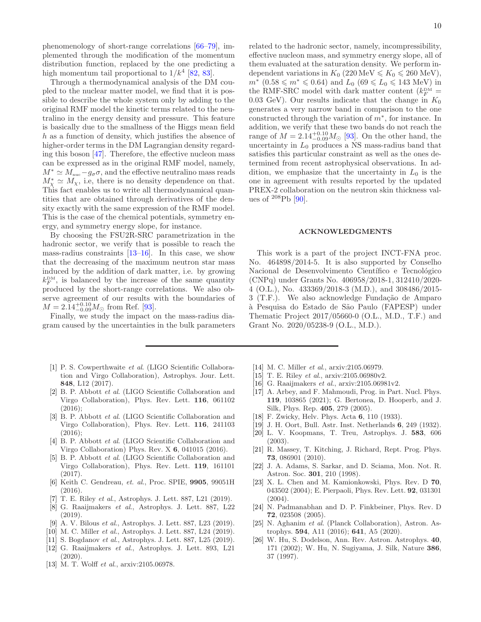phenomenology of short-range correlations [\[66](#page-10-16)[–79\]](#page-10-17), implemented through the modification of the momentum distribution function, replaced by the one predicting a high momentum tail proportional to  $1/k^4$  [\[82,](#page-10-20) [83\]](#page-10-21).

Through a thermodynamical analysis of the DM coupled to the nuclear matter model, we find that it is possible to describe the whole system only by adding to the original RMF model the kinetic terms related to the neutralino in the energy density and pressure. This feature is basically due to the smallness of the Higgs mean field h as a function of density, which justifies the absence of higher-order terms in the DM Lagrangian density regarding this boson [\[47\]](#page-10-27). Therefore, the effective nucleon mass can be expressed as in the original RMF model, namely,  $M^* \simeq M_{\text{nuc}} - g_{\sigma} \sigma$ , and the effective neutralino mass reads  $M^*_{\chi} \simeq M_{\chi}$ , i.e, there is no density dependence on that. This fact enables us to write all thermodynamical quantities that are obtained through derivatives of the density exactly with the same expression of the RMF model. This is the case of the chemical potentials, symmetry energy, and symmetry energy slope, for instance.

By choosing the FSU2R-SRC parametrization in the hadronic sector, we verify that is possible to reach the mass-radius constraints  $[13-16]$ . In this case, we show that the decreasing of the maximum neutron star mass induced by the addition of dark matter, i.e. by growing  $k_F^{\text{DM}}$ , is balanced by the increase of the same quantity produced by the short-range correlations. We also observe agreement of our results with the boundaries of  $M = 2.14_{-0.09}^{+0.10} M_{\odot}$  from Ref. [\[93\]](#page-11-0).

Finally, we study the impact on the mass-radius diagram caused by the uncertainties in the bulk parameters

- <span id="page-9-0"></span>[1] P. S. Cowperthwaite et al. (LIGO Scientific Collaboration and Virgo Collaboration), Astrophys. Jour. Lett. 848, L12 (2017).
- <span id="page-9-1"></span>[2] B. P. Abbott *et al.* (LIGO Scientific Collaboration and Virgo Collaboration), Phys. Rev. Lett. 116, 061102  $(2016)$
- [3] B. P. Abbott *et al.* (LIGO Scientific Collaboration and Virgo Collaboration), Phys. Rev. Lett. 116, 241103  $(2016)$ :
- <span id="page-9-2"></span>[4] B. P. Abbott et al. (LIGO Scientific Collaboration and Virgo Collaboration) Phys. Rev. X 6, 041015 (2016).
- <span id="page-9-3"></span>[5] B. P. Abbott et al. (LIGO Scientific Collaboration and Virgo Collaboration), Phys. Rev. Lett. 119, 161101 (2017).
- <span id="page-9-4"></span>[6] Keith C. Gendreau, et. al., Proc. SPIE, 9905, 99051H (2016).
- <span id="page-9-5"></span>[7] T. E. Riley et al., Astrophys. J. Lett. 887, L21 (2019).
- [8] G. Raaijmakers et al., Astrophys. J. Lett. 887, L22 (2019).
- [9] A. V. Bilous et al., Astrophys. J. Lett. 887, L23 (2019).
- [10] M. C. Miller et al., Astrophys. J. Lett. 887, L24 (2019).
- [11] S. Bogdanov et al., Astrophys. J. Lett. 887, L25 (2019).
- <span id="page-9-6"></span>[12] G. Raaijmakers et al., Astrophys. J. Lett. 893, L21  $(2020)$
- <span id="page-9-7"></span>[13] M. T. Wolff et al., arxiv:2105.06978.

related to the hadronic sector, namely, incompressibility, effective nucleon mass, and symmetry energy slope, all of them evaluated at the saturation density. We perform independent variations in  $K_0$  (220 MeV  $\leq K_0 \leq 260$  MeV),  $m^*$  (0.58 ≤  $m^*$  ≤ 0.64) and  $L_0$  (69 ≤  $L_0$  ≤ 143 MeV) in the RMF-SRC model with dark matter content  $(k_F^{\text{DM}} =$ 0.03 GeV). Our results indicate that the change in  $K_0$ generates a very narrow band in comparison to the one constructed through the variation of  $m^*$ , for instance. In addition, we verify that these two bands do not reach the range of  $M = 2.14_{-0.09}^{+0.10} M_{\odot}$  [\[93\]](#page-11-0). On the other hand, the uncertainty in  $L_0$  produces a NS mass-radius band that satisfies this particular constraint as well as the ones determined from recent astrophysical observations. In addition, we emphasize that the uncertainty in  $L_0$  is the one in agreement with results reported by the updated PREX-2 collaboration on the neutron skin thickness values of  $^{208}Pb$  [\[90\]](#page-10-24).

## ACKNOWLEDGMENTS

This work is a part of the project INCT-FNA proc. No. 464898/2014-5. It is also supported by Conselho Nacional de Desenvolvimento Científico e Tecnológico (CNPq) under Grants No. 406958/2018-1, 312410/2020- 4 (O.L.), No. 433369/2018-3 (M.D.), and 308486/2015- 3 (T.F.). We also acknowledge Fundação de Amparo `a Pesquisa do Estado de S˜ao Paulo (FAPESP) under Thematic Project 2017/05660-0 (O.L., M.D., T.F.) and Grant No. 2020/05238-9 (O.L., M.D.).

- <span id="page-9-16"></span>[14] M. C. Miller *et al.*, arxiv:2105.06979.
- <span id="page-9-17"></span>[15] T. E. Riley et al., arxiv: 2105.06980v2.
- <span id="page-9-8"></span>[16] G. Raaijmakers et al., arxiv:2105.06981v2.
- <span id="page-9-9"></span>[17] A. Arbey, and F. Mahmoudi, Prog. in Part. Nucl. Phys. 119, 103865 (2021); G. Bertonea, D. Hooperb, and J. Silk, Phys. Rep. 405, 279 (2005).
- <span id="page-9-10"></span>[18] F. Zwicky, Helv. Phys. Acta 6, 110 (1933).
- <span id="page-9-11"></span>[19] J. H. Oort, Bull. Astr. Inst. Netherlands 6, 249 (1932).
- <span id="page-9-12"></span>[20] L. V. Koopmans, T. Treu, Astrophys. J. 583, 606 (2003).
- <span id="page-9-13"></span>[21] R. Massey, T. Kitching, J. Richard, Rept. Prog. Phys. 73, 086901 (2010).
- <span id="page-9-14"></span>[22] J. A. Adams, S. Sarkar, and D. Sciama, Mon. Not. R. Astron. Soc. 301, 210 (1998).
- [23] X. L. Chen and M. Kamionkowski, Phys. Rev. D 70, 043502 (2004); E. Pierpaoli, Phys. Rev. Lett. 92, 031301  $(2004).$
- [24] N. Padmanabhan and D. P. Finkbeiner, Phys. Rev. D 72, 023508 (2005).
- [25] N. Aghanim et al. (Planck Collaboration), Astron. Astrophys. 594, A11 (2016); 641, A5 (2020).
- <span id="page-9-15"></span>[26] W. Hu, S. Dodelson, Ann. Rev. Astron. Astrophys. 40, 171 (2002); W. Hu, N. Sugiyama, J. Silk, Nature 386, 37 (1997).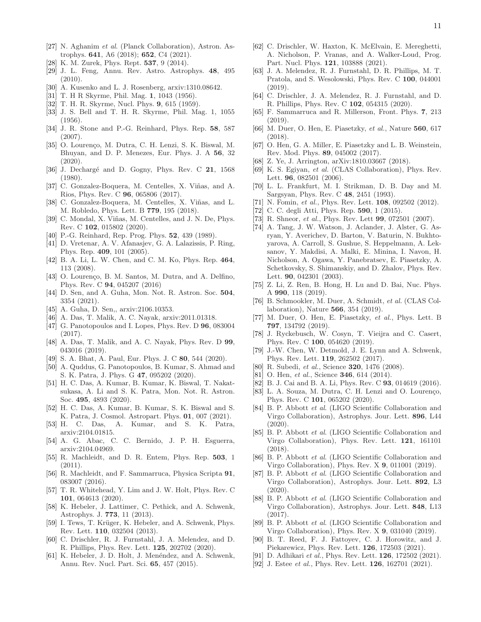- <span id="page-10-0"></span>[27] N. Aghanim et al. (Planck Collaboration), Astron. Astrophys. 641, A6 (2018); 652, C4 (2021).
- <span id="page-10-1"></span>[28] K. M. Zurek, Phys. Rept. 537, 9 (2014).
- <span id="page-10-2"></span>[29] J. L. Feng, Annu. Rev. Astro. Astrophys. 48, 495 (2010).
- <span id="page-10-3"></span>[30] A. Kusenko and L. J. Rosenberg, arxiv:1310.08642.
- <span id="page-10-4"></span>[31] T. H R Skyrme, Phil. Mag. 1, 1043 (1956).
- [32] T. H. R. Skyrme, Nucl. Phys. 9, 615 (1959).
- [33] J. S. Bell and T. H. R. Skyrme, Phil. Mag. 1, 1055 (1956).
- [34] J. R. Stone and P.-G. Reinhard, Phys. Rep. 58, 587 (2007).
- <span id="page-10-5"></span>[35] O. Lourenço, M. Dutra, C. H. Lenzi, S. K. Biswal, M. Bhuyan, and D. P. Menezes, Eur. Phys. J. A 56, 32  $(2020).$
- <span id="page-10-6"></span>[36] J. Dechargé and D. Gogny, Phys. Rev. C 21, 1568 (1980).
- [37] C. Gonzalez-Boquera, M. Centelles, X. Viñas, and A. Rios, Phys. Rev. C 96, 065806 (2017).
- [38] C. Gonzalez-Boquera, M. Centelles, X. Viñas, and L. M. Robledo, Phys. Lett. B 779, 195 (2018).
- <span id="page-10-7"></span>[39] C. Mondal, X. Viñas, M. Centelles, and J. N. De, Phys. Rev. C 102, 015802 (2020).
- <span id="page-10-8"></span>[40] P.-G. Reinhard, Rep. Prog. Phys. **52**, 439 (1989).
- [41] D. Vretenar, A. V. Afanasjev, G. A. Lalazissis, P. Ring, Phys. Rep. 409, 101 (2005).
- [42] B. A. Li, L. W. Chen, and C. M. Ko, Phys. Rep. 464, 113 (2008).
- <span id="page-10-9"></span>[43] O. Lourenço, B. M. Santos, M. Dutra, and A. Delfino, Phys. Rev. C 94, 045207 (2016)
- <span id="page-10-10"></span>[44] D. Sen, and A. Guha, Mon. Not. R. Astron. Soc. 504, 3354 (2021).
- <span id="page-10-11"></span>[45] A. Guha, D. Sen,, arxiv:2106.10353.
- <span id="page-10-12"></span>[46] A. Das, T. Malik, A. C. Nayak, arxiv:2011.01318.
- <span id="page-10-27"></span>[47] G. Panotopoulos and I. Lopes, Phys. Rev. D **96**, 083004 (2017).
- <span id="page-10-31"></span>[48] A. Das, T. Malik, and A. C. Nayak, Phys. Rev. D 99, 043016 (2019).
- <span id="page-10-28"></span>[49] S. A. Bhat, A. Paul, Eur. Phys. J. C 80, 544 (2020).
- [50] A. Quddus, G. Panotopoulos, B. Kumar, S. Ahmad and S. K. Patra, J. Phys. G 47, 095202 (2020).
- <span id="page-10-30"></span>[51] H. C. Das, A. Kumar, B. Kumar, K. Biswal, T. Nakatsukasa, A. Li and S. K. Patra, Mon. Not. R. Astron. Soc. 495, 4893 (2020).
- [52] H. C. Das, A. Kumar, B. Kumar, S. K. Biswal and S. K. Patra, J. Cosmol. Astropart. Phys. 01, 007 (2021).
- <span id="page-10-29"></span>[53] H. C. Das, A. Kumar, and S. K. Patra, arxiv:2104.01815.
- <span id="page-10-13"></span>[54] A. G. Abac, C. C. Bernido, J. P. H. Esguerra, arxiv:2104.04969.
- <span id="page-10-14"></span>[55] R. Machleidt, and D. R. Entem, Phys. Rep. 503, 1 (2011).
- [56] R. Machleidt, and F. Sammarruca, Physica Scripta 91, 083007 (2016).
- [57] T. R. Whitehead, Y. Lim and J. W. Holt, Phys. Rev. C 101, 064613 (2020).
- [58] K. Hebeler, J. Lattimer, C. Pethick, and A. Schwenk, Astrophys. J. 773, 11 (2013).
- [59] I. Tews, T. Krüger, K. Hebeler, and A. Schwenk, Phys. Rev. Lett. 110, 032504 (2013).
- <span id="page-10-32"></span>[60] C. Drischler, R. J. Furnstahl, J. A. Melendez, and D. R. Phillips, Phys. Rev. Lett. 125, 202702 (2020).
- [61] K. Hebeler, J. D. Holt, J. Menéndez, and A. Schwenk, Annu. Rev. Nucl. Part. Sci. 65, 457 (2015).
- [62] C. Drischler, W. Haxton, K. McElvain, E. Mereghetti, A. Nicholson, P. Vranas, and A. Walker-Loud, Prog. Part. Nucl. Phys. 121, 103888 (2021).
- [63] J. A. Melendez, R. J. Furnstahl, D. R. Phillips, M. T. Pratola, and S. Wesolowski, Phys. Rev. C 100, 044001 (2019).
- [64] C. Drischler, J. A. Melendez, R. J. Furnstahl, and D. R. Phillips, Phys. Rev. C 102, 054315 (2020).
- <span id="page-10-15"></span>[65] F. Sammarruca and R. Millerson, Front. Phys. 7, 213 (2019).
- <span id="page-10-16"></span>[66] M. Duer, O. Hen, E. Piasetzky, et al., Nature 560, 617 (2018).
- [67] O. Hen, G. A. Miller, E. Piasetzky and L. B. Weinstein, Rev. Mod. Phys. 89, 045002 (2017).
- [68] Z. Ye, J. Arrington, arXiv:1810.03667 (2018).
- [69] K. S. Egiyan, et al. (CLAS Collaboration), Phys. Rev. Lett. **96**, 082501 (2006).
- [70] L. L. Frankfurt, M. I. Strikman, D. B. Day and M. Sargsyan, Phys. Rev. C 48, 2451 (1993).
- [71] N. Fomin, et al., Phys. Rev. Lett. **108**, 092502 (2012).
- [72] C. C. degli Atti, Phys. Rep. 590, 1 (2015).
- [73] R. Shneor, *et al.*, Phys. Rev. Lett **99**, 072501 (2007).
- [74] A. Tang, J. W. Watson, J. Aclander, J. Alster, G. Asryan, Y. Averichev, D. Barton, V. Baturin, N. Bukhtoyarova, A. Carroll, S. Gushue, S. Heppelmann, A. Leksanov, Y. Makdisi, A. Malki, E. Minina, I. Navon, H. Nicholson, A. Ogawa, Y. Panebratsev, E. Piasetzky, A. Schetkovsky, S. Shimanskiy, and D. Zhalov, Phys. Rev. Lett. 90, 042301 (2003).
- [75] Z. Li, Z. Ren, B. Hong, H. Lu and D. Bai, Nuc. Phys. A 990, 118 (2019).
- [76] B. Schmookler, M. Duer, A. Schmidt, et al. (CLAS Collaboration), Nature 566, 354 (2019).
- [77] M. Duer, O. Hen, E. Piasetzky, et al., Phys. Lett. B 797, 134792 (2019).
- [78] J. Ryckebusch, W. Cosyn, T. Vieijra and C. Casert, Phys. Rev. C 100, 054620 (2019).
- <span id="page-10-17"></span>[79] J.-W. Chen, W. Detmold, J. E. Lynn and A. Schwenk, Phys. Rev. Lett. 119, 262502 (2017).
- <span id="page-10-18"></span>[80] R. Subedi, et al., Science 320, 1476 (2008).
- <span id="page-10-19"></span>[81] O. Hen, et al., Science 346, 614 (2014).
- <span id="page-10-20"></span>[82] B. J. Cai and B. A. Li, Phys. Rev. C 93, 014619 (2016).
- <span id="page-10-21"></span>[83] L. A. Souza, M. Dutra, C. H. Lenzi and O. Lourenço, Phys. Rev. C 101, 065202 (2020).
- <span id="page-10-22"></span>[84] B. P. Abbott et al. (LIGO Scientific Collaboration and Virgo Collaboration), Astrophys. Jour. Lett. 896, L44 (2020).
- [85] B. P. Abbott et al. (LIGO Scientific Collaboration and Virgo Collaboration), Phys. Rev. Lett. 121, 161101 (2018).
- [86] B. P. Abbott et al. (LIGO Scientific Collaboration and Virgo Collaboration), Phys. Rev. X 9, 011001 (2019).
- [87] B. P. Abbott et al. (LIGO Scientific Collaboration and Virgo Collaboration), Astrophys. Jour. Lett. 892, L3 (2020).
- [88] B. P. Abbott et al. (LIGO Scientific Collaboration and Virgo Collaboration), Astrophys. Jour. Lett. 848, L13 (2017).
- <span id="page-10-23"></span>[89] B. P. Abbott et al. (LIGO Scientific Collaboration and Virgo Collaboration), Phys. Rev. X 9, 031040 (2019).
- <span id="page-10-24"></span>[90] B. T. Reed, F. J. Fattoyev, C. J. Horowitz, and J. Piekarewicz, Phys. Rev. Lett. 126, 172503 (2021).
- <span id="page-10-25"></span>[91] D. Adhikari et al., Phys. Rev. Lett. **126**, 172502 (2021).
- <span id="page-10-26"></span>[92] J. Estee *et al.*, Phys. Rev. Lett. **126**, 162701 (2021).